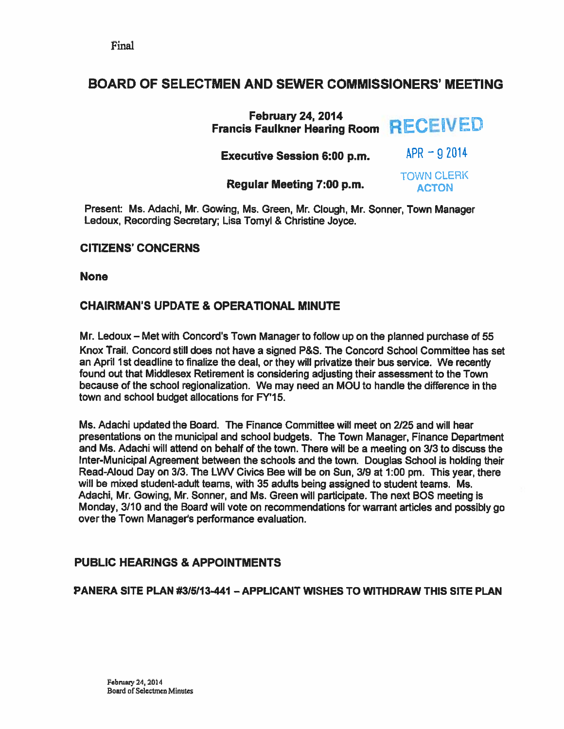# BOARD OF SELECTMEN AND SEWER COMMISSIONERS' MEETING

| <b>February 24, 2014</b><br>Francis Faulkner Hearing Room RECEIVED |                                   |
|--------------------------------------------------------------------|-----------------------------------|
| <b>Executive Session 6:00 p.m.</b>                                 | $APR = 92014$                     |
| Regular Meeting 7:00 p.m.                                          | <b>TOWN CLERK</b><br><b>ACTON</b> |

Present: Ms. Adachi, Mr. Gowing, Ms. Green, Mr. Clough, Mr. Sonner, Town Manager Ledoux, Recording Secretary; Lisa Tomyl & Christine Joyce.

## CITIZENS' CONCERNS

None

## CHAIRMAN'S UPDATE & OPERATIONAL MINUTE

Mr. Ledoux — Met with Concord's Town Manager to follow up on the planned purchase of 55 Knox Trail. Concord still does not have <sup>a</sup> signed P&S. The Concord School Committee has set an April 1st deadline to finalize the deal, or they will privatize their bus service. We recently found out that Middlesex Retirement is considering adjusting their assessment to the Town because of the school regionalization. We may need an MOU to handle the difference in the town and school budget allocations for FY'15.

Ms. Adachi updated the Board. The Finance Committee will meet on 2/25 and will hear presentations on the municipal and school budgets. The Town Manager, Finance Department and Ms. Adachi will attend on behalf of the town. There will be <sup>a</sup> meeting on 3/3 to discuss the Inter-Municipal Agreement between the schools and the town. Douglas School is holding their Read-Aloud Day on 3/3. The LWV Civics Bee will be on Sun, 3/9 at 1:00 pm. This year, there will be mixed student-adult teams, with 35 adults being assigned to student teams. Ms. Adachi, Mr Gowing, Mr. Sonner, and Ms. Green will participate. The next BOS meeting is Monday, 3/10 and the Board will vote on recommendations for warrant articles and possibly go over the Town Manager's performance evaluation.

# PUBLIC HEARINGS & APPOINTMENTS

PANERA SITE PLAN #315113461 — APPLICANT WISHES TO WITHDRAW THIS SITE PLAN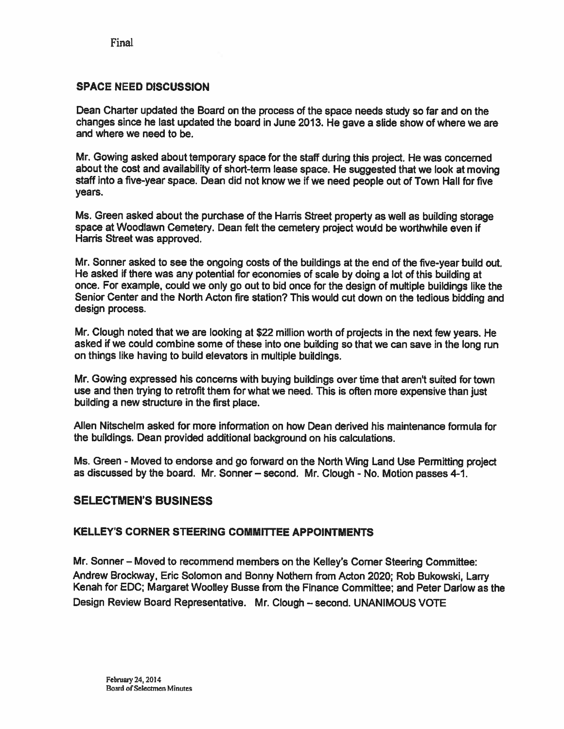Final

### SPACE NEED DISCUSSION

Dean Charter updated the Board on the process of the space needs study so far and on the changes since he last updated the board in June 2013. He gave <sup>a</sup> slide show of where we are and where we need to be.

Mr. Gowing asked about temporary space for the staff during this project. He was concerned about the cost and availability of short-term lease space. He suggested that we look at moving staff into <sup>a</sup> five-year space. Dean did not know we if we need people out of Town Hall for five years.

Ms. Green asked about the purchase of the Harris Street property as well as building storage space at Woodlawn Cemetery. Dean felt the cemetery project would be worthwhile even if Harris Street was approved.

Mr. Sonner asked to see the ongoing costs of the buildings at the end of the five-year build out. He asked if there was any potential for economies of scale by doing <sup>a</sup> lot of this building at once. For example, could we only go out to bid once for the design of multiple buildings like the Senior Center and the North Acton fire station? This would cut down on the tedious bidding and design process.

Mr. Clough noted that we are looking at \$22 million worth of projects in the next few years. He asked if we could combine some of these into one building so that we can save in the long run on things like having to build elevators in multiple buildings.

Mr. Gowing expressed his concerns with buying buildings over time that aren't suited for town use and then trying to retrofit them for what we need. This is often more expensive than just building <sup>a</sup> new structure in the first place.

Allen Nitschelm asked for more information on how Dean derived his maintenance formula for the buildings. Dean provided additional background on his calculations.

Ms. Green - Moved to endorse and go forward on the North Wing Land Use Permitting project as discussed by the board. Mr. Sonner — second. Mr. Clough - No. Motion passes 4-1.

### SELECTMEN'S BUSINESS

#### KELLEY'S CORNER STEERING COMMITTEE APPOINTMENTS

Mr. Sonner — Moved to recommend members on the Kelley's Corner Steering Committee: Andrew Brockway, Eric Solomon and Bonny Nothem from Acton 2020; Rob Bukowski, Larry Kenah for EDC; Margaret Woolley Busse from the Finance Committee; and Peter Darlow as the Design Review Board Representative. Mr. Clough — second. UNANIMOUS VOTE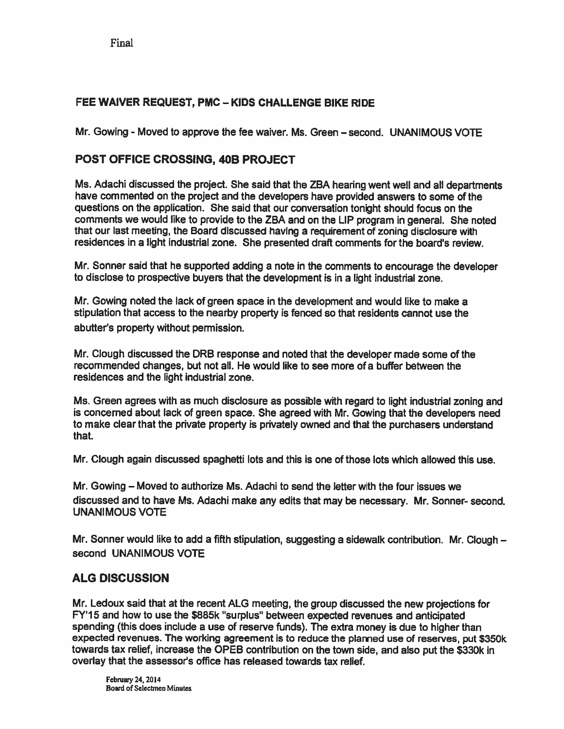Final

# FEE WAIVER REQUEST, PMC — KIDS CHALLENGE BIKE RIDE

Mr. Gowing - Moved to approve the fee waiver. Ms. Green —second. UNANIMOUS VOTE

# POST OFFICE CROSSING, 40B PROJECT

Ms. Adachi discussed the project. She said that the ZBA hearing went well and all departments have commented on the project and the developers have provided answers to some of the questions on the application. She said that our conversation tonight should focus on the comments we would like to provide to the ZBA and on the LIP program in general. She noted that our last meeting, the Board discussed having <sup>a</sup> requirement of zoning disclosure with residences in <sup>a</sup> light industrial zone. She presented draft comments for the board's review.

Mr. Sonner said that he supported adding <sup>a</sup> note in the comments to encourage the developer to disclose to prospective buyers that the development is in <sup>a</sup> light industrial zone.

Mr. Gowing noted the lack of green space in the development and would like to make <sup>a</sup> stipulation that access to the nearby property is fenced so that residents cannot use the abutter's property without permission.

Mr. Clough discussed the DRB response and noted that the developer made some of the recommended changes, but not all. He would like to see more of <sup>a</sup> buffer between the residences and the light industrial zone.

Ms. Green agrees with as much disclosure as possible with regard to light industrial zoning and is concerned about lack of green space. She agreed with Mr. Sowing that the developers need to make clear that the private property is privately owned and that the purchasers understand that.

Mr. Clough again discussed spaghetti lots and this is one of those lots which allowed this use.

Mr. Gowing — Moved to authorize Ms. Adachi to send the letter with the four issues we discussed and to have Ms. Adachi make any edits that may be necessary. Mr. Sonner- second. UNANIMOUS VOTE

Mr. Sonner would like to add a fifth stipulation, suggesting a sidewalk contribution. Mr. Clough – second UNANIMOUS VOTE

### ALG DISCUSSION

Mr. Ledoux said that at the recent ALG meeting, the group discussed the new projections for FY'15 and how to use the \$885k "surplus" between expected revenues and anticipated spending (this does include <sup>a</sup> use of reserve funds). The extra money is due to higher than expected revenues. The working agreemen<sup>t</sup> is to reduce the <sup>p</sup>lanned use of reserves, pu<sup>t</sup> \$350k towards tax relief, increase the OPEB contribution on the town side, and also put the \$330k in overlay that the assessor's office has released towards tax relief.

February 24, 2014 Board of Selectmen Minutes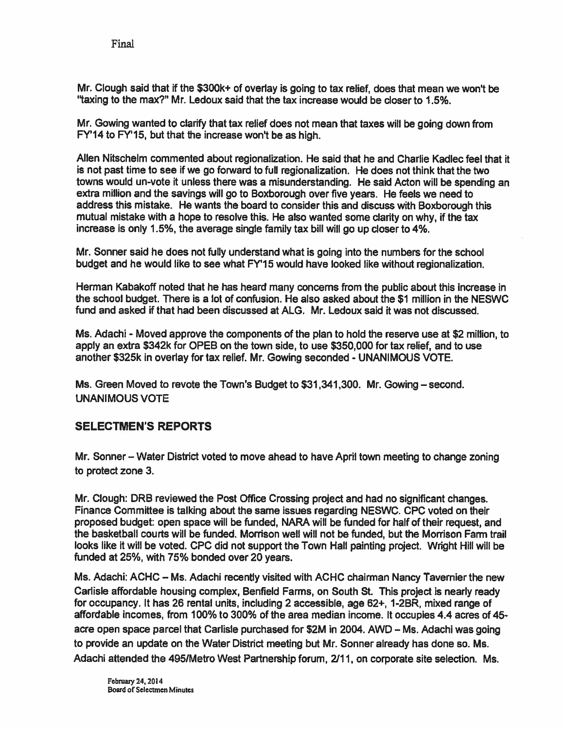Mr. Clough said that if the \$300k+ of overlay is going to tax relief, does that mean we won't be "taxing to the max?" Mr. Ledoux said that the tax increase would be closer to 1.5%.

Mr. Sowing wanted to clarify that tax relief does not mean that taxes will be going down from FY'14 to FY'15, but that the increase won't be as high.

Allen Nitschelm commented about regionalization. He said that he and Charlie Kadlec feel that it is not pas<sup>t</sup> time to see if we go forward to full regionalization. He does not think that the two towns would un-vote it unless there was <sup>a</sup> misunderstanding. He said Acton will be spending an extra million and the savings will go to Boxborough over five years. He feels we need to address this mistake. He wants the board to consider this and discuss with Boxborough this mutual mistake with <sup>a</sup> hope to resolve this. He also wanted some clarity on why, if the tax increase is only 1.5%, the average single family tax bill will go up closer to 4%.

Mr. Sonner said he does not fully understand what is going into the numbers for the school budget and he would like to see what FY'15 would have looked like without regionalization.

Herman Kabakoff noted that he has heard many concerns from the public about this increase in the school budget. There is <sup>a</sup> lot of confusion. He also asked about the \$1 million in the NESWC fund and asked if that had been discussed at ALG. Mr. Ledoux said it was not discussed.

Ms. Adachi - Moved approve the components of the plan to hold the reserve use at \$2 million, to apply an extra \$342k for OPEB on the town side, to use \$350,000 for tax relief, and to use another \$325k in overlay for tax relief. Mr. Gowing seconded - UNANIMOUS VOTE.

Ms. Green Moved to revote the Town's Budget to \$31,341,300. Mr. Gowing — second. UNANIMOUS VOTE

# SELECTMEN'S REPORTS

Mr. Sonner — Water District voted to move ahead to have April town meeting to change zoning to protect zone 3.

Mr. Clough: DRB reviewed the Post Office Crossing project and had no significant changes. Finance Committee is talking about the same issues regarding NESWC. CPC voted on their proposed budget: open space will be funded, NARA will be funded for half of their request, and the basketball courts will be funded. Morrison well will not be funded, but the Morrison Farm trail looks like ft will be voted. CPC did not suppor<sup>t</sup> the Town Hall painting project. Wright Hill will be funded at 25%, with 75% bonded over 20 years.

Ms. Adachi: ACHC - Ms. Adachi recently visited with ACHC chairman Nancy Tavernier the new Carlisle affordable housing complex, Benfleld Farms, on South St. This project is nearly ready for occupancy. It has 26 rental units, including 2 accessible, age 62+, 1-2BR, mixed range of affordable incomes, from 100% to 300% of the area median income. It occupies 4.4 acres of 45 acre open space parcel that Carlisle purchased for \$2M in 2004. AWD — Ms. Adachi was going to provide an update on the Water District meeting but Mr. Sonner already has done so. Ms. Adachi attended the 495/Metro West Partnership forum, 2/11, on corporate site selection. Ms.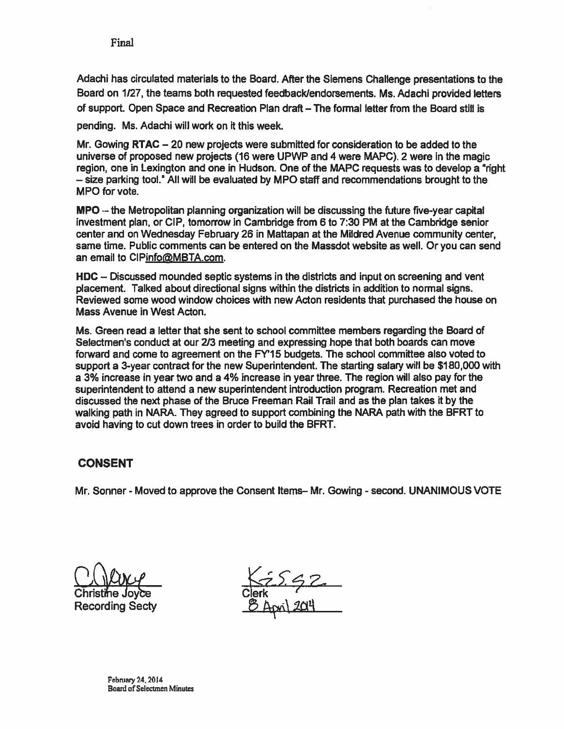Adachi has circulated materials to the Board. After the Siemens Challenge presentations to the Board on 1/27, the teams both requested feedback/endorsements. Ms. Adachi provided letters of support. Open Space and Recreation Plan draft — The formal letter from the Board still is

pending. Ms. Adachi will work on it this week.

Mr. Sowing RTAC — 20 new projects were submitted for consideration to be added to the universe of proposed new projects (16 were UPWP and 4 were MAPC). 2 were in the magic region, one in Lexington and one in Hudson. One of the MAPC requests was to develop a "right — size parking tool." All will be evaluated by MPO staff and recommendations brought to the MPO for vote.

MPO — the Metropolitan planning organization will be discussing the future five-year capital investment plan, or CIP, tomorrow in Cambridge from 6 to 7:30 PM at the Cambridge senior center and on Wednesday February 26 in Mattapan at the Mildred Avenue community center, same time. Public comments can be entered on the Massdot website as well. Or you can send an email to CIPinfo@MBTA.com.

HDC — Discussed mounded septic systems in the districts and input on screening and vent placement. Talked about directional signs within the districts in addition to normal signs. Reviewed some wood window choices with new Acton residents that purchased the house on Mass Avenue in West Acton.

Ms. Green read <sup>a</sup> letter that she sent to school committee members regarding the Board of Selectmen's conduct at our 2/3 meeting and expressing hope that both boards can move forward and come to agreemen<sup>t</sup> on the FY'15 budgets. The school committee also voted to suppor<sup>t</sup> <sup>a</sup> 3-year contract for the new Superintendent. The starting salary will be \$180,000 with <sup>a</sup> 3% increase in year two and <sup>a</sup> 4% increase in year three. The region will also pay for the superintendent to attend <sup>a</sup> new superintendent introduction program. Recreation met and discussed the next phase of the Bruce Freeman Rail Trail and as the plan takes it by the walking path in NARA. They agreed to suppor<sup>t</sup> combining the NARA path with the BFRT to avoid having to cut down trees in order to build the BFRT.

# CONSENT

Mr. Sonner - Moved to approve the Consent Items-Mr. Gowing - second. UNANIMOUS VOTE

Recording Secty

<u>NZ2, SZ</u><br>Clerk<br><u>B April 2014</u>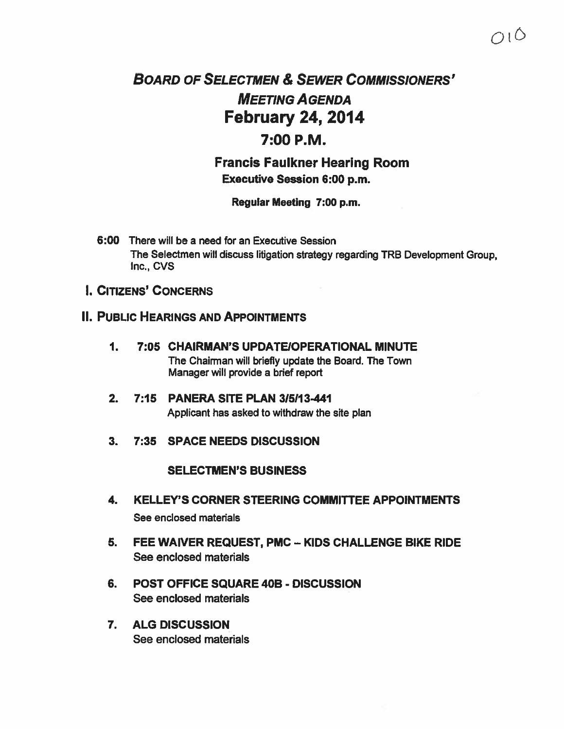# BOARD OF SELECTMEN & SEWER COMMISSIONERS' MEETING AGENDA February 24, 2014

# 7:00 P.M.

Francis Faulkner Hearing Room Executive Session 6:00 p.m.

Regular Meeting 7:00 p.m.

- 6:00 There will be <sup>a</sup> need for an Executive Session The Selectmen will discuss litigation strategy regarding TRB Development Group, Inc., CVS
- I. CITIZENS' CONCERNS

# II. PUBLIC HEARINGS AND APPOINTMENTS

- 1. 7:05 CHAIRMAN'S UPDATEIOPERATIONAL MINUTE The Chairman will briefly update the Board. The Town Manager will provide <sup>a</sup> brief repor<sup>t</sup>
- 2. 7:15 PANERA SITE PLAN 315113-441 Applicant has asked to withdraw the site plan
- 3. 7:35 SPACE NEEDS DISCUSSION

### SELECTMEN'S BUSINESS

- 4. KELLEY'S CORNER STEERING COMMITTEE APPOINTMENTS See enclosed materials
- 5. FEE WAIVER REQUEST, PMC KIDS CHALLENGE BIKE RIDE See enclosed materials
- 6. POST OFFICE SQUARE 40B DISCUSSION See enclosed materials
- 7. ALG DISCUSSION See enclosed materials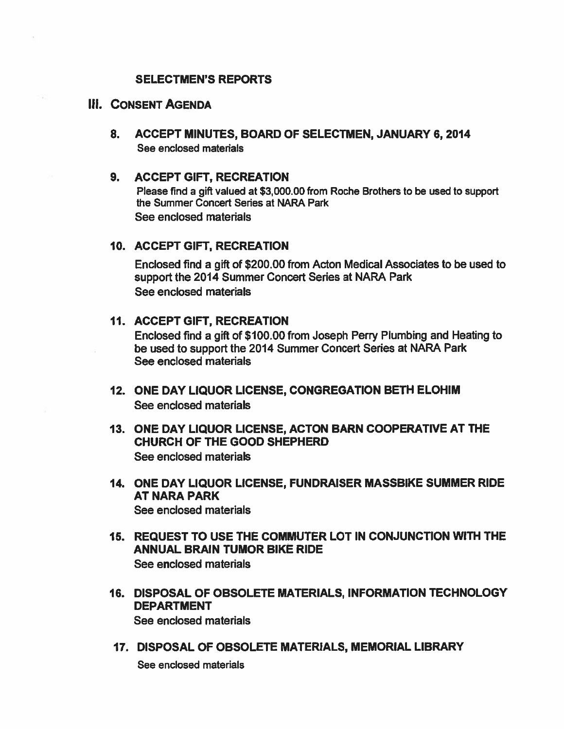### SELECTMEN'S REPORTS

# ill. CONSENT AGENDA

8. ACCEPT MINUTES, BOARD OF SELECTMEN, JANUARY 6, 2014 See enclosed materials

### 9. ACCEPT GIFT, RECREATION

Please find <sup>a</sup> gift valued at \$3,000.00 from Roche Brothers to be used to suppor<sup>t</sup> the Summer Concert Series at NARA Park See enclosed materials

### 10. ACCEPT GIFT, RECREATION

Enclosed find <sup>a</sup> gift of \$200.00 from Acton Medical Associates to be used to suppor<sup>t</sup> the 2014 Summer Concert Series at NARA Park See enclosed materials

### 11. ACCEPT GIFT, RECREATION

Enclosed find <sup>a</sup> gift of \$100.00 from Joseph Perry Plumbing and Heating to be used to suppor<sup>t</sup> the 2014 Summer Concert Series at NARA Park See enclosed materials

- 12. ONE DAY LIQUOR LICENSE, CONGREGATION BETH ELOHIM See enclosed materials
- 13. ONE DAY LIQUOR LICENSE, ACTON BARN COOPERATIVE AT THE CHURCH OF THE GOOD SHEPHERD See enclosed materials
- 14. ONE DAY LIQUOR LICENSE, FUNDRAISER MASSBIKE SUMMER RIDE AT NARA PARK See enclosed materials
- 15. REQUEST TO USE THE COMMUTER LOT IN CONJUNCTION WITh THE ANNUAL BRAIN TUMOR BIKE RIDE See enclosed materials
- 16. DISPOSAL OF OBSOLETE MATERIALS, INFORMATION TECHNOLOGY DEPARTMENT See enclosed materials
- 17. DISPOSAL OF OBSOLETE MATERIALS, MEMORIAL LIBRARY

See enclosed materials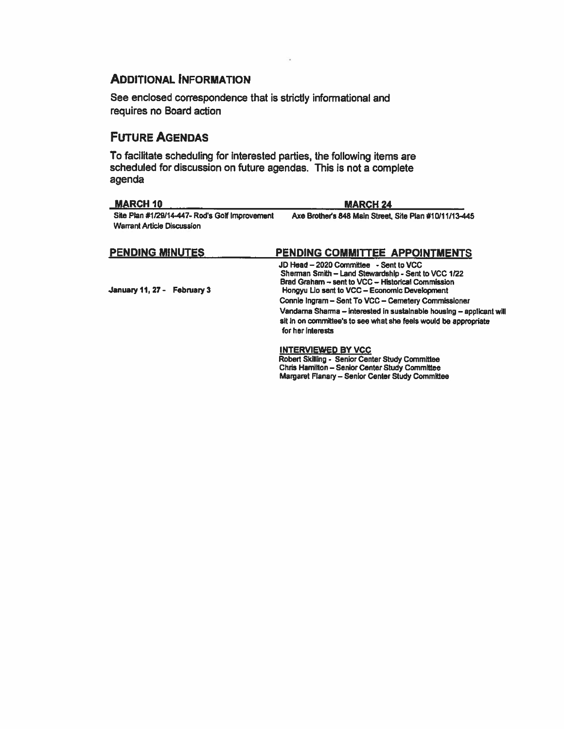# **ADDITIONAL INFORMATION**

See enclosed correspondence that is strictly informational and requires no Board action

# **FUTURE AGENDAS**

To facilitate scheduling for interested parties, the following items are scheduled for discussion on future agendas. This is not a complete agenda

| <b>MARCH 10</b>                                                                     | <b>MARCH 24</b>                                                                                                                                                                                                                                                                                                                                                                                                             |
|-------------------------------------------------------------------------------------|-----------------------------------------------------------------------------------------------------------------------------------------------------------------------------------------------------------------------------------------------------------------------------------------------------------------------------------------------------------------------------------------------------------------------------|
| Site Plan #1/29/14-447- Rod's Golf Improvement<br><b>Warrant Article Discussion</b> | Axe Brother's 848 Main Street, Site Plan #10/11/13-445                                                                                                                                                                                                                                                                                                                                                                      |
| <b>PENDING MINUTES</b>                                                              | PENDING COMMITTEE APPOINTMENTS                                                                                                                                                                                                                                                                                                                                                                                              |
| January 11, 27 - February 3                                                         | JD Head - 2020 Committee - Sent to VCC<br>Sherman Smith - Land Stewardship - Sent to VCC 1/22<br>Brad Graham - sent to VCC - Historical Commission<br>Hongyu Lio sent to VCC - Economic Development<br>Connie Ingram - Sent To VCC - Cernetery Commissioner<br>Vandama Sharma - interested in sustalnable housing - applicant will<br>sit in on committee's to see what she feels would be appropriate<br>for her interests |
|                                                                                     | <b>INTERVIEWED BY VCC</b><br>Robert Skilling - Senior Center Study Committee                                                                                                                                                                                                                                                                                                                                                |

Robert Skilling - Senior Center Study Committee<br>Chris Hamilton – Senior Center Study Committee Margaret Flanary - Senior Center Study Committee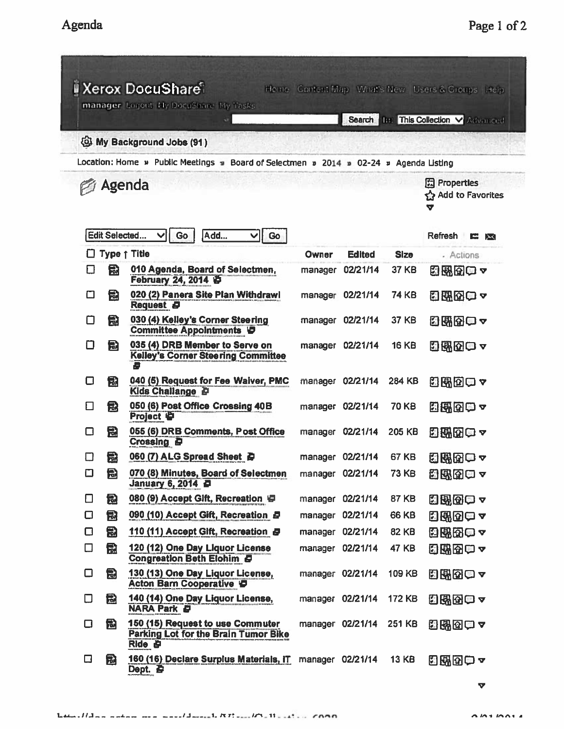|        |                                                     | <b>I Xerox DocuShare</b><br>manager Logout Hy DocuShare My Tasks                              |       |                  |              | Home Content Map What's New Users & Groups Help<br>Search <b>THE This Collection V Advanced</b> |
|--------|-----------------------------------------------------|-----------------------------------------------------------------------------------------------|-------|------------------|--------------|-------------------------------------------------------------------------------------------------|
|        |                                                     | <b>S</b> My Background Jobs (91)                                                              |       |                  |              |                                                                                                 |
|        |                                                     | Location: Home » Public Meetings » Board of Selectmen » 2014 » 02-24 » Agenda Listing         |       |                  |              |                                                                                                 |
| Agenda | <b>開 Properties</b><br><b>Add to Favorites</b><br>V |                                                                                               |       |                  |              |                                                                                                 |
|        | Edit Selected                                       | Add<br>Go<br>Go<br>∨<br>v                                                                     |       |                  |              | <b>Refresh</b><br>E.<br>EX                                                                      |
|        |                                                     | $\Box$ Type $\uparrow$ Title                                                                  | Owner | <b>Edited</b>    | <b>Size</b>  | - Actions                                                                                       |
| □      | 恸                                                   | 010 Agenda, Board of Selectmen,<br>February 24, 2014                                          |       | manager 02/21/14 | <b>37 KB</b> | 因果歯中ャ                                                                                           |
| O      | 懚                                                   | 020 (2) Panera Site Plan Withdrawl<br>Request <b>D</b>                                        |       | manager 02/21/14 | <b>74 KB</b> | 日明田口ャ                                                                                           |
| Ο      | 乱                                                   | 030 (4) Kelley's Corner Steering<br><b>Committee Appointments ID</b>                          |       | manager 02/21/14 | 37 KB        | 出駅団ロャ                                                                                           |
| О      | 总                                                   | 035 (4) DRB Member to Serve on<br><b>Kelley's Corner Steering Committee</b><br>Ð              |       | manager 02/21/14 | <b>16 KB</b> | 日界位中~                                                                                           |
| О      | 嵒                                                   | 040 (5) Request for Fee Waiver, PMC<br><b>Kids Challange D</b>                                |       | manager 02/21/14 | 284 KB       | 图图图□▼                                                                                           |
| □      | 冠                                                   | 050 (6) Post Office Crossing 40B<br>Project &                                                 |       | manager 02/21/14 | <b>70 KB</b> | 四郎因曰~                                                                                           |
| □      | 凨                                                   | 055 (6) DRB Comments, Post Office<br>Crossing <b>D</b>                                        |       | manager 02/21/14 | 205 KB       | 出球的ロャ                                                                                           |
| П      | 鬜                                                   | 060 (7) ALG Spread Sheet @                                                                    |       | manager 02/21/14 | <b>67 KB</b> | 出現図の~                                                                                           |
| О      | 愠                                                   | 070 (8) Minutes, Board of Selectmen<br>January 6, 2014 P                                      |       | manager 02/21/14 | <b>73 KB</b> | 图图图□▼                                                                                           |
| О      | 急                                                   | 080 (9) Accept Gift, Recreation                                                               |       | manager 02/21/14 | <b>87 KB</b> | 日界图中~                                                                                           |
| О      | 旵                                                   | 090 (10) Accept Gift, Recreation 日                                                            |       | manager 02/21/14 | <b>66 KB</b> | 日曜田中~                                                                                           |
| О      | 愚                                                   | 110 (11) Accept Gift, Recreation a                                                            |       | manager 02/21/14 | <b>82 KB</b> | 出脱肉口?                                                                                           |
| $\Box$ | 盘                                                   | 120 (12) One Day Liquor License<br><b>Congreation Beth Elohim B</b>                           |       | manager 02/21/14 | <b>47 KB</b> | 5.熙帝中~                                                                                          |
| О      | 园                                                   | 130 (13) One Day Liquor License,<br><b>Acton Barn Cooperative D</b>                           |       | manager 02/21/14 | 109 KB       | 日昭图白~                                                                                           |
| О      | 囹                                                   | 140 (14) One Day Liquor License,<br><b>NARA Park &amp;</b>                                    |       | manager 02/21/14 | 172 KB       | 凸卧图●~                                                                                           |
| О      | 倒                                                   | 150 (15) Request to use Commuter<br>Parking Lot for the Brain Tumor Bike<br><b>Ride &amp;</b> |       | manager 02/21/14 | 251 KB       | 8800~                                                                                           |
| □      | 园                                                   | 160 (16) Declare Surplus Materials, IT<br>Dept. P                                             |       | manager 02/21/14 | <b>13 KB</b> | 日既め中~                                                                                           |